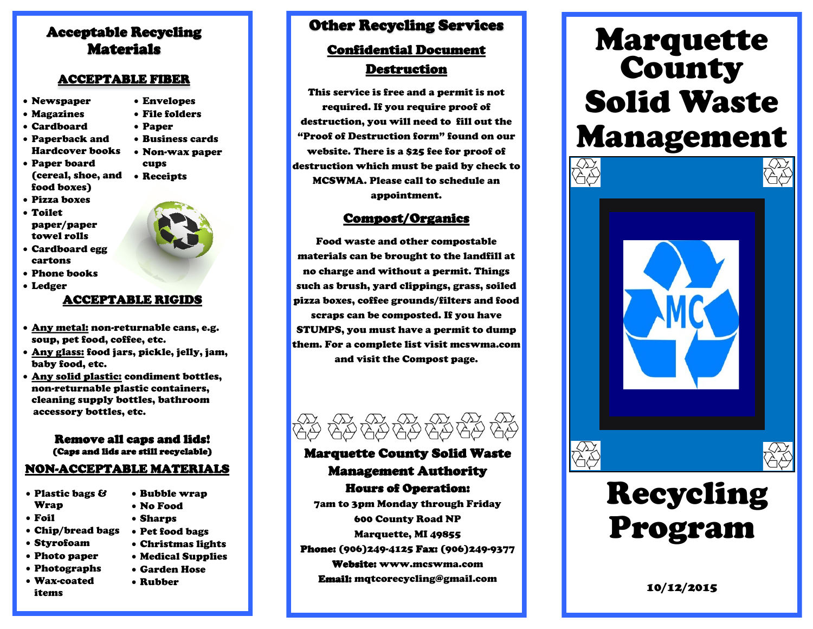## Acceptable Recycling Materials

#### ACCEPTABLE FIBER

- Newspaper
- Magazines
- Cardboard
- Paperback and Hardcover books
- Paper board (cereal, shoe, and Receipts food boxes)
- Pizza boxes
- Toilet paper/paper towel rolls



 Envelopes File folders Paper

cups

 Business cards Non-wax paper

cartons Phone books

Cardboard egg

Ledger

#### ACCEPTABLE RIGIDS

- Any metal: non-returnable cans, e.g. soup, pet food, coffee, etc.
- <u>Any glass:</u> food jars, pickle, jelly, jam, baby food, etc.
- Any solid plastic: condiment bottles, non-returnable plastic containers, cleaning supply bottles, bathroom accessory bottles, etc.

#### Remove all caps and lids! (Caps and lids are still recyclable)

# NON-ACCEPTABLE MATERIALS

- Plastic bags & Wrap
- Foil
- Chip/bread bags
- Styrofoam
- Photo paper
- Photographs
- Wax-coated items
- Bubble wrap No Food
- Sharps
- Pet food bags
- Christmas lights
- Medical Supplies
- Garden Hose
- Rubber

## Other Recycling Services

## Confidential Document **Destruction**

This service is free and a permit is not required. If you require proof of destruction, you will need to fill out the "Proof of Destruction form" found on our website. There is a \$25 fee for proof of destruction which must be paid by check to MCSWMA. Please call to schedule an appointment.

### Compost/Organics

Food waste and other compostable materials can be brought to the landfill at no charge and without a permit. Things such as brush, yard clippings, grass, soiled pizza boxes, coffee grounds/filters and food

scraps can be composted. If you have STUMPS, you must have a permit to dump them. For a complete list visit mcswma.com and visit the Compost page.



## Marquette County Solid Waste Management Authority Hours of Operation:

7am to 3pm Monday through Friday 600 County Road NP Marquette, MI 49855 Phone: (906)249-4125 Fax: (906)249-9377 Website: www.mcswma.com Email: mqtcorecycling@gmail.com

# Marquette County Solid Waste Management





# Recycling Program

10/12/2015